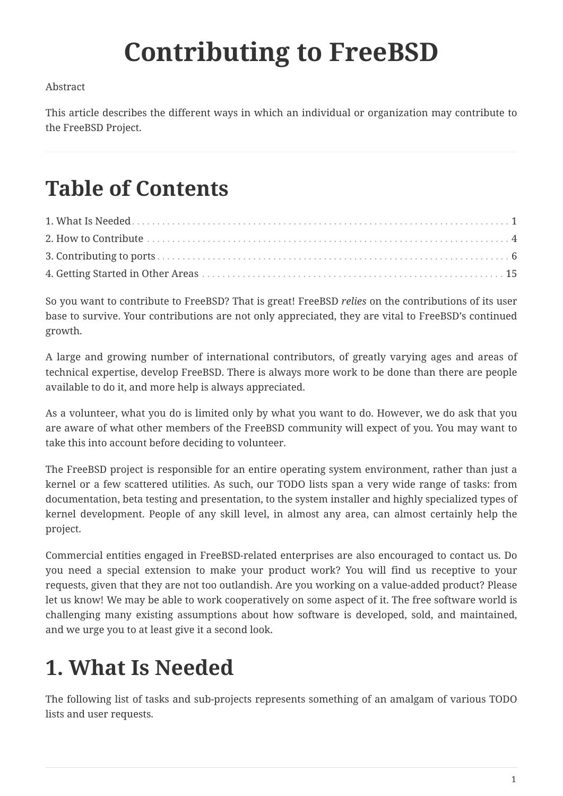# **Contributing to FreeBSD**

#### Abstract

This article describes the different ways in which an individual or organization may contribute to the FreeBSD Project.

## **Table of Contents**

So you want to contribute to FreeBSD? That is great! FreeBSD *relies* on the contributions of its user base to survive. Your contributions are not only appreciated, they are vital to FreeBSD's continued growth.

A large and growing number of international contributors, of greatly varying ages and areas of technical expertise, develop FreeBSD. There is always more work to be done than there are people available to do it, and more help is always appreciated.

As a volunteer, what you do is limited only by what you want to do. However, we do ask that you are aware of what other members of the FreeBSD community will expect of you. You may want to take this into account before deciding to volunteer.

The FreeBSD project is responsible for an entire operating system environment, rather than just a kernel or a few scattered utilities. As such, our TODO lists span a very wide range of tasks: from documentation, beta testing and presentation, to the system installer and highly specialized types of kernel development. People of any skill level, in almost any area, can almost certainly help the project.

Commercial entities engaged in FreeBSD-related enterprises are also encouraged to contact us. Do you need a special extension to make your product work? You will find us receptive to your requests, given that they are not too outlandish. Are you working on a value-added product? Please let us know! We may be able to work cooperatively on some aspect of it. The free software world is challenging many existing assumptions about how software is developed, sold, and maintained, and we urge you to at least give it a second look.

## <span id="page-0-0"></span>**1. What Is Needed**

The following list of tasks and sub-projects represents something of an amalgam of various TODO lists and user requests.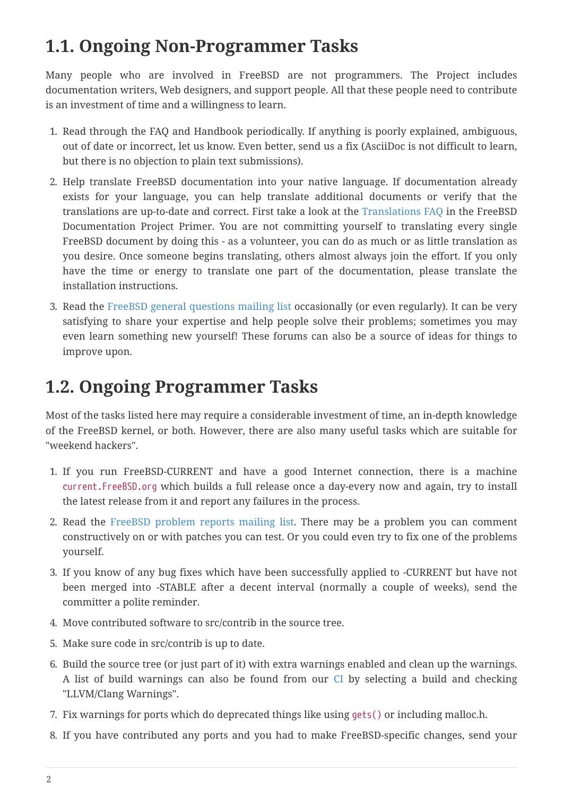### **1.1. Ongoing Non-Programmer Tasks**

Many people who are involved in FreeBSD are not programmers. The Project includes documentation writers, Web designers, and support people. All that these people need to contribute is an investment of time and a willingness to learn.

- 1. Read through the FAQ and Handbook periodically. If anything is poorly explained, ambiguous, out of date or incorrect, let us know. Even better, send us a fix (AsciiDoc is not difficult to learn, but there is no objection to plain text submissions).
- 2. Help translate FreeBSD documentation into your native language. If documentation already exists for your language, you can help translate additional documents or verify that the translations are up-to-date and correct. First take a look at the [Translations FAQ](https://docs.freebsd.org/en/books/fdp-primer/#translations) in the FreeBSD Documentation Project Primer. You are not committing yourself to translating every single FreeBSD document by doing this - as a volunteer, you can do as much or as little translation as you desire. Once someone begins translating, others almost always join the effort. If you only have the time or energy to translate one part of the documentation, please translate the installation instructions.
- 3. Read the [FreeBSD general questions mailing list](https://lists.FreeBSD.org/subscription/freebsd-questions) occasionally (or even regularly). It can be very satisfying to share your expertise and help people solve their problems; sometimes you may even learn something new yourself! These forums can also be a source of ideas for things to improve upon.

### **1.2. Ongoing Programmer Tasks**

Most of the tasks listed here may require a considerable investment of time, an in-depth knowledge of the FreeBSD kernel, or both. However, there are also many useful tasks which are suitable for "weekend hackers".

- 1. If you run FreeBSD-CURRENT and have a good Internet connection, there is a machine current.FreeBSD.org which builds a full release once a day-every now and again, try to install the latest release from it and report any failures in the process.
- 2. Read the [FreeBSD problem reports mailing list.](https://lists.FreeBSD.org/subscription/freebsd-bugs) There may be a problem you can comment constructively on or with patches you can test. Or you could even try to fix one of the problems yourself.
- 3. If you know of any bug fixes which have been successfully applied to -CURRENT but have not been merged into -STABLE after a decent interval (normally a couple of weeks), send the committer a polite reminder.
- 4. Move contributed software to src/contrib in the source tree.
- 5. Make sure code in src/contrib is up to date.
- 6. Build the source tree (or just part of it) with extra warnings enabled and clean up the warnings. A list of build warnings can also be found from our [CI](https://ci.freebsd.org) by selecting a build and checking "LLVM/Clang Warnings".
- 7. Fix warnings for ports which do deprecated things like using gets() or including malloc.h.
- 8. If you have contributed any ports and you had to make FreeBSD-specific changes, send your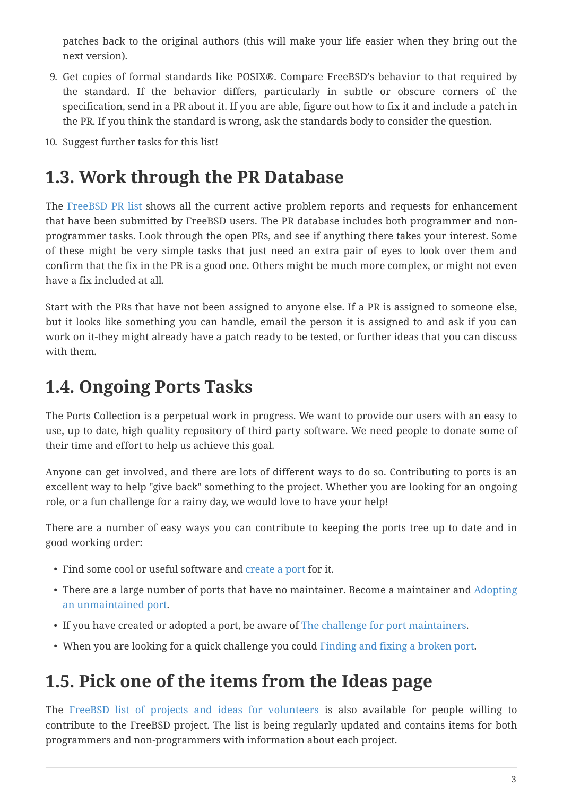patches back to the original authors (this will make your life easier when they bring out the next version).

- 9. Get copies of formal standards like POSIX®. Compare FreeBSD's behavior to that required by the standard. If the behavior differs, particularly in subtle or obscure corners of the specification, send in a PR about it. If you are able, figure out how to fix it and include a patch in the PR. If you think the standard is wrong, ask the standards body to consider the question.
- 10. Suggest further tasks for this list!

### **1.3. Work through the PR Database**

The [FreeBSD PR list](https://bugs.FreeBSD.org/search/) shows all the current active problem reports and requests for enhancement that have been submitted by FreeBSD users. The PR database includes both programmer and nonprogrammer tasks. Look through the open PRs, and see if anything there takes your interest. Some of these might be very simple tasks that just need an extra pair of eyes to look over them and confirm that the fix in the PR is a good one. Others might be much more complex, or might not even have a fix included at all.

Start with the PRs that have not been assigned to anyone else. If a PR is assigned to someone else, but it looks like something you can handle, email the person it is assigned to and ask if you can work on it-they might already have a patch ready to be tested, or further ideas that you can discuss with them.

### **1.4. Ongoing Ports Tasks**

The Ports Collection is a perpetual work in progress. We want to provide our users with an easy to use, up to date, high quality repository of third party software. We need people to donate some of their time and effort to help us achieve this goal.

Anyone can get involved, and there are lots of different ways to do so. Contributing to ports is an excellent way to help "give back" something to the project. Whether you are looking for an ongoing role, or a fun challenge for a rainy day, we would love to have your help!

There are a number of easy ways you can contribute to keeping the ports tree up to date and in good working order:

- Find some cool or useful software and [create a port](https://docs.freebsd.org/en/books/porters-handbook/) for it.
- There are a large number of ports that have no maintainer. Become a maintainer and [Adopting](#page-5-1) [an unmaintained port.](#page-5-1)
- If you have created or adopted a port, be aware of [The challenge for port maintainers](#page-6-0).
- When you are looking for a quick challenge you could [Finding and fixing a broken port.](#page-12-0)

### **1.5. Pick one of the items from the Ideas page**

The [FreeBSD list of projects and ideas for volunteers](https://wiki.freebsd.org/IdeasPage) is also available for people willing to contribute to the FreeBSD project. The list is being regularly updated and contains items for both programmers and non-programmers with information about each project.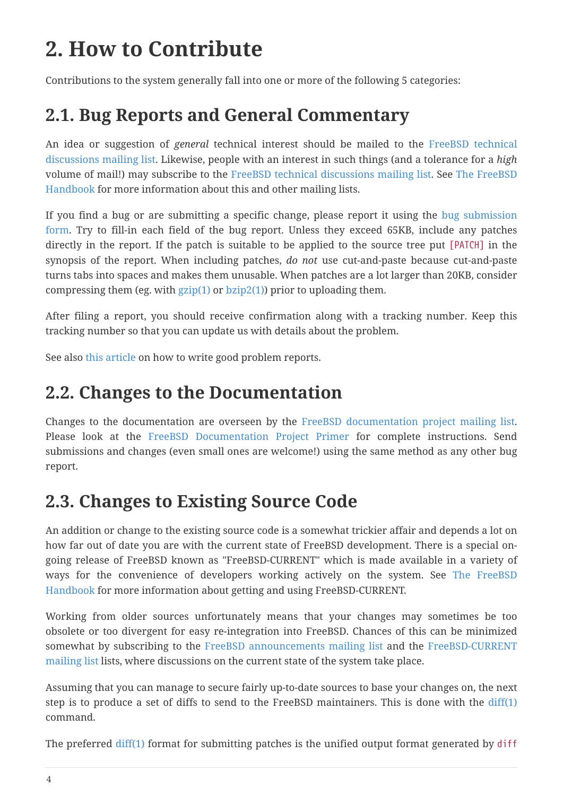## <span id="page-3-0"></span>**2. How to Contribute**

Contributions to the system generally fall into one or more of the following 5 categories:

### **2.1. Bug Reports and General Commentary**

An idea or suggestion of *general* technical interest should be mailed to the [FreeBSD technical](https://lists.FreeBSD.org/subscription/freebsd-hackers) [discussions mailing list](https://lists.FreeBSD.org/subscription/freebsd-hackers). Likewise, people with an interest in such things (and a tolerance for a *high* volume of mail!) may subscribe to the [FreeBSD technical discussions mailing list](https://lists.FreeBSD.org/subscription/freebsd-hackers). See [The FreeBSD](https://docs.freebsd.org/en/books/handbook/#eresources-mail) [Handbook](https://docs.freebsd.org/en/books/handbook/#eresources-mail) for more information about this and other mailing lists.

If you find a bug or are submitting a specific change, please report it using the [bug submission](https://bugs.FreeBSD.org/submit/) [form](https://bugs.FreeBSD.org/submit/). Try to fill-in each field of the bug report. Unless they exceed 65KB, include any patches directly in the report. If the patch is suitable to be applied to the source tree put [PATCH] in the synopsis of the report. When including patches, *do not* use cut-and-paste because cut-and-paste turns tabs into spaces and makes them unusable. When patches are a lot larger than 20KB, consider compressing them (eg. with  $gzip(1)$  or  $bzip2(1)$ ) prior to uploading them.

After filing a report, you should receive confirmation along with a tracking number. Keep this tracking number so that you can update us with details about the problem.

See also [this article](https://docs.freebsd.org/en/articles/problem-reports/) on how to write good problem reports.

### **2.2. Changes to the Documentation**

Changes to the documentation are overseen by the [FreeBSD documentation project mailing list](https://lists.FreeBSD.org/subscription/freebsd-doc). Please look at the [FreeBSD Documentation Project Primer](https://docs.freebsd.org/en/books/fdp-primer/) for complete instructions. Send submissions and changes (even small ones are welcome!) using the same method as any other bug report.

### **2.3. Changes to Existing Source Code**

An addition or change to the existing source code is a somewhat trickier affair and depends a lot on how far out of date you are with the current state of FreeBSD development. There is a special ongoing release of FreeBSD known as "FreeBSD-CURRENT" which is made available in a variety of ways for the convenience of developers working actively on the system. See [The FreeBSD](https://docs.freebsd.org/en/books/handbook/#current-stable) [Handbook](https://docs.freebsd.org/en/books/handbook/#current-stable) for more information about getting and using FreeBSD-CURRENT.

Working from older sources unfortunately means that your changes may sometimes be too obsolete or too divergent for easy re-integration into FreeBSD. Chances of this can be minimized somewhat by subscribing to the [FreeBSD announcements mailing list](https://lists.FreeBSD.org/subscription/freebsd-announce) and the [FreeBSD-CURRENT](https://lists.FreeBSD.org/subscription/freebsd-current) [mailing list](https://lists.FreeBSD.org/subscription/freebsd-current) lists, where discussions on the current state of the system take place.

Assuming that you can manage to secure fairly up-to-date sources to base your changes on, the next step is to produce a set of diffs to send to the FreeBSD maintainers. This is done with the  $diff(1)$ command.

The preferred [diff\(1\)](https://www.freebsd.org/cgi/man.cgi?query=diff&sektion=1&format=html) format for submitting patches is the unified output format generated by diff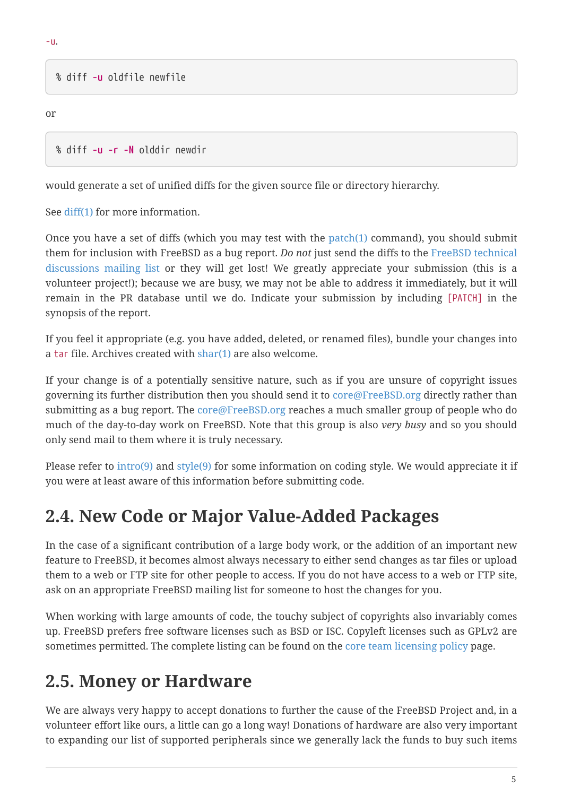% diff **-u** oldfile newfile

or

```
% diff -u -r -N olddir newdir
```
would generate a set of unified diffs for the given source file or directory hierarchy.

See [diff\(1\)](https://www.freebsd.org/cgi/man.cgi?query=diff&sektion=1&format=html) for more information.

Once you have a set of diffs (which you may test with the [patch\(1\)](https://www.freebsd.org/cgi/man.cgi?query=patch&sektion=1&format=html) command), you should submit them for inclusion with FreeBSD as a bug report. *Do not* just send the diffs to the [FreeBSD technical](https://lists.FreeBSD.org/subscription/freebsd-hackers) [discussions mailing list](https://lists.FreeBSD.org/subscription/freebsd-hackers) or they will get lost! We greatly appreciate your submission (this is a volunteer project!); because we are busy, we may not be able to address it immediately, but it will remain in the PR database until we do. Indicate your submission by including [PATCH] in the synopsis of the report.

If you feel it appropriate (e.g. you have added, deleted, or renamed files), bundle your changes into a tar file. Archives created with [shar\(1\)](https://www.freebsd.org/cgi/man.cgi?query=shar&sektion=1&format=html) are also welcome.

If your change is of a potentially sensitive nature, such as if you are unsure of copyright issues governing its further distribution then you should send it to [core@FreeBSD.org](mailto:core@FreeBSD.org) directly rather than submitting as a bug report. The [core@FreeBSD.org](mailto:core@FreeBSD.org) reaches a much smaller group of people who do much of the day-to-day work on FreeBSD. Note that this group is also *very busy* and so you should only send mail to them where it is truly necessary.

Please refer to [intro\(9\)](https://www.freebsd.org/cgi/man.cgi?query=intro&sektion=9&format=html) and [style\(9\)](https://www.freebsd.org/cgi/man.cgi?query=style&sektion=9&format=html) for some information on coding style. We would appreciate it if you were at least aware of this information before submitting code.

### **2.4. New Code or Major Value-Added Packages**

In the case of a significant contribution of a large body work, or the addition of an important new feature to FreeBSD, it becomes almost always necessary to either send changes as tar files or upload them to a web or FTP site for other people to access. If you do not have access to a web or FTP site, ask on an appropriate FreeBSD mailing list for someone to host the changes for you.

When working with large amounts of code, the touchy subject of copyrights also invariably comes up. FreeBSD prefers free software licenses such as BSD or ISC. Copyleft licenses such as GPLv2 are sometimes permitted. The complete listing can be found on the [core team licensing policy](https://www.FreeBSD.org/internal/software-license/) page.

### **2.5. Money or Hardware**

We are always very happy to accept donations to further the cause of the FreeBSD Project and, in a volunteer effort like ours, a little can go a long way! Donations of hardware are also very important to expanding our list of supported peripherals since we generally lack the funds to buy such items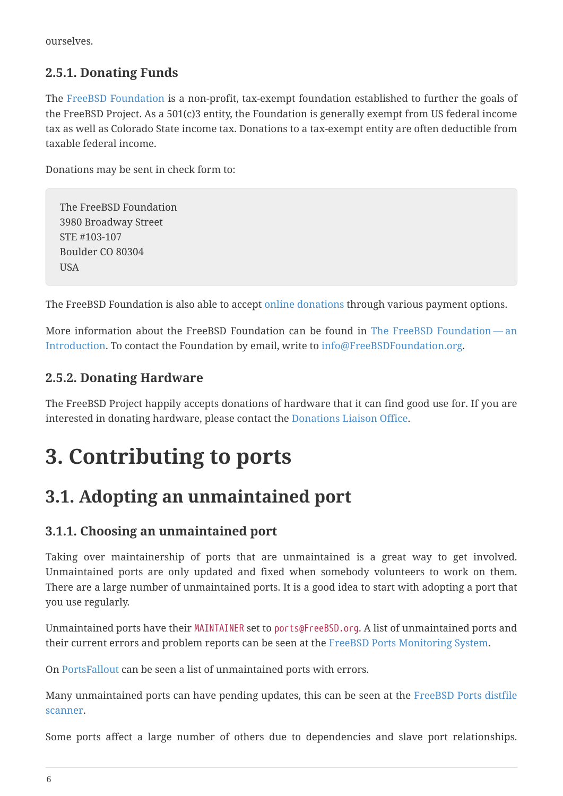ourselves.

#### **2.5.1. Donating Funds**

The [FreeBSD Foundation](https://www.freebsdfoundation.org) is a non-profit, tax-exempt foundation established to further the goals of the FreeBSD Project. As a 501(c)3 entity, the Foundation is generally exempt from US federal income tax as well as Colorado State income tax. Donations to a tax-exempt entity are often deductible from taxable federal income.

Donations may be sent in check form to:

The FreeBSD Foundation 3980 Broadway Street STE #103-107 Boulder CO 80304 **USA** 

The FreeBSD Foundation is also able to accept [online donations](https://www.freebsdfoundation.org/donate/) through various payment options.

More information about the FreeBSD Foundation can be found in [The FreeBSD Foundation](https://people.FreeBSD.org/~jdp/foundation/announcement.html) — an [Introduction.](https://people.FreeBSD.org/~jdp/foundation/announcement.html) To contact the Foundation by email, write to [info@FreeBSDFoundation.org](mailto:info@FreeBSDFoundation.org).

#### **2.5.2. Donating Hardware**

The FreeBSD Project happily accepts donations of hardware that it can find good use for. If you are interested in donating hardware, please contact the [Donations Liaison Office](https://www.FreeBSD.org/donations/).

## <span id="page-5-0"></span>**3. Contributing to ports**

### <span id="page-5-1"></span>**3.1. Adopting an unmaintained port**

#### **3.1.1. Choosing an unmaintained port**

Taking over maintainership of ports that are unmaintained is a great way to get involved. Unmaintained ports are only updated and fixed when somebody volunteers to work on them. There are a large number of unmaintained ports. It is a good idea to start with adopting a port that you use regularly.

Unmaintained ports have their MAINTAINER set to ports@FreeBSD.org. A list of unmaintained ports and their current errors and problem reports can be seen at the [FreeBSD Ports Monitoring System](http://portsmon.FreeBSD.org/portsconcordanceformaintainer.py?maintainer=ports%40FreeBSD.org).

On [PortsFallout](https://portsfallout.com/fallout?port=&maintainer=ports%40FreeBSD.org) can be seen a list of unmaintained ports with errors.

Many unmaintained ports can have pending updates, this can be seen at the [FreeBSD Ports distfile](https://portscout.freebsd.org/ports@freebsd.org.html) [scanner](https://portscout.freebsd.org/ports@freebsd.org.html).

Some ports affect a large number of others due to dependencies and slave port relationships.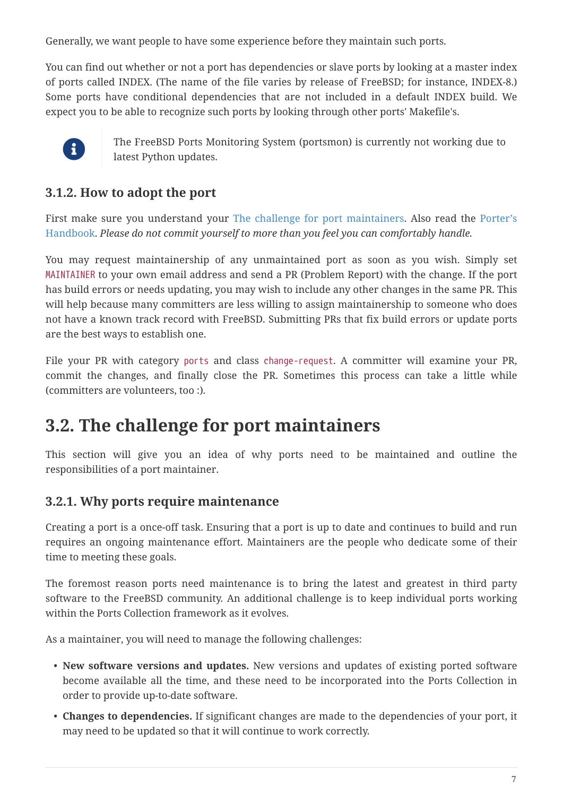Generally, we want people to have some experience before they maintain such ports.

You can find out whether or not a port has dependencies or slave ports by looking at a master index of ports called INDEX. (The name of the file varies by release of FreeBSD; for instance, INDEX-8.) Some ports have conditional dependencies that are not included in a default INDEX build. We expect you to be able to recognize such ports by looking through other ports' Makefile's.



The FreeBSD Ports Monitoring System (portsmon) is currently not working due to latest Python updates.

#### **3.1.2. How to adopt the port**

First make sure you understand your [The challenge for port maintainers](#page-6-0). Also read the [Porter's](https://docs.freebsd.org/en/books/porters-handbook/) [Handbook](https://docs.freebsd.org/en/books/porters-handbook/). *Please do not commit yourself to more than you feel you can comfortably handle.*

You may request maintainership of any unmaintained port as soon as you wish. Simply set MAINTAINER to your own email address and send a PR (Problem Report) with the change. If the port has build errors or needs updating, you may wish to include any other changes in the same PR. This will help because many committers are less willing to assign maintainership to someone who does not have a known track record with FreeBSD. Submitting PRs that fix build errors or update ports are the best ways to establish one.

File your PR with category ports and class change-request. A committer will examine your PR, commit the changes, and finally close the PR. Sometimes this process can take a little while (committers are volunteers, too :).

### <span id="page-6-0"></span>**3.2. The challenge for port maintainers**

This section will give you an idea of why ports need to be maintained and outline the responsibilities of a port maintainer.

#### **3.2.1. Why ports require maintenance**

Creating a port is a once-off task. Ensuring that a port is up to date and continues to build and run requires an ongoing maintenance effort. Maintainers are the people who dedicate some of their time to meeting these goals.

The foremost reason ports need maintenance is to bring the latest and greatest in third party software to the FreeBSD community. An additional challenge is to keep individual ports working within the Ports Collection framework as it evolves.

As a maintainer, you will need to manage the following challenges:

- **New software versions and updates.** New versions and updates of existing ported software become available all the time, and these need to be incorporated into the Ports Collection in order to provide up-to-date software.
- **Changes to dependencies.** If significant changes are made to the dependencies of your port, it may need to be updated so that it will continue to work correctly.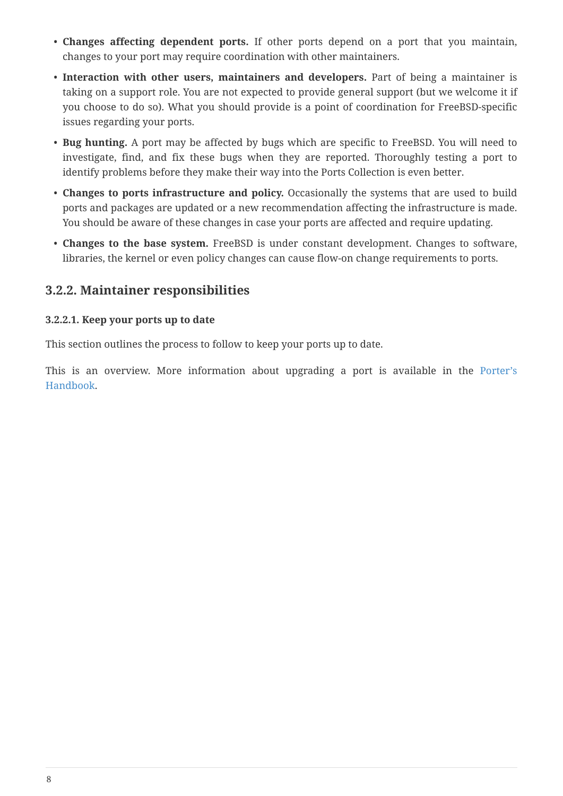- **Changes affecting dependent ports.** If other ports depend on a port that you maintain, changes to your port may require coordination with other maintainers.
- **Interaction with other users, maintainers and developers.** Part of being a maintainer is taking on a support role. You are not expected to provide general support (but we welcome it if you choose to do so). What you should provide is a point of coordination for FreeBSD-specific issues regarding your ports.
- **Bug hunting.** A port may be affected by bugs which are specific to FreeBSD. You will need to investigate, find, and fix these bugs when they are reported. Thoroughly testing a port to identify problems before they make their way into the Ports Collection is even better.
- **Changes to ports infrastructure and policy.** Occasionally the systems that are used to build ports and packages are updated or a new recommendation affecting the infrastructure is made. You should be aware of these changes in case your ports are affected and require updating.
- **Changes to the base system.** FreeBSD is under constant development. Changes to software, libraries, the kernel or even policy changes can cause flow-on change requirements to ports.

#### **3.2.2. Maintainer responsibilities**

#### **3.2.2.1. Keep your ports up to date**

This section outlines the process to follow to keep your ports up to date.

This is an overview. More information about upgrading a port is available in the [Porter's](https://docs.freebsd.org/en/books/porters-handbook/) [Handbook](https://docs.freebsd.org/en/books/porters-handbook/).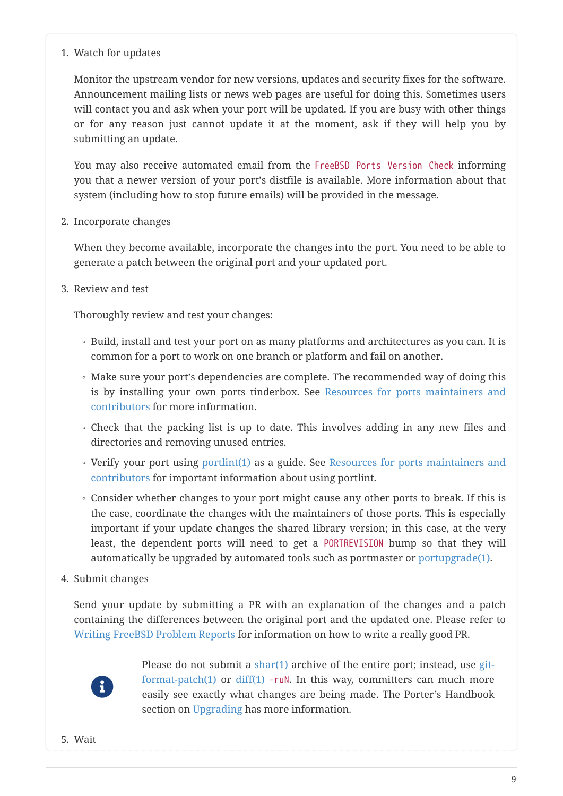#### 1. Watch for updates

Monitor the upstream vendor for new versions, updates and security fixes for the software. Announcement mailing lists or news web pages are useful for doing this. Sometimes users will contact you and ask when your port will be updated. If you are busy with other things or for any reason just cannot update it at the moment, ask if they will help you by submitting an update.

You may also receive automated email from the FreeBSD Ports Version Check informing you that a newer version of your port's distfile is available. More information about that system (including how to stop future emails) will be provided in the message.

2. Incorporate changes

When they become available, incorporate the changes into the port. You need to be able to generate a patch between the original port and your updated port.

3. Review and test

Thoroughly review and test your changes:

- Build, install and test your port on as many platforms and architectures as you can. It is common for a port to work on one branch or platform and fail on another.
- Make sure your port's dependencies are complete. The recommended way of doing this is by installing your own ports tinderbox. See [Resources for ports maintainers and](#page-13-0) [contributors](#page-13-0) for more information.
- Check that the packing list is up to date. This involves adding in any new files and directories and removing unused entries.
- Verify your port using [portlint\(1\)](https://www.freebsd.org/cgi/man.cgi?query=portlint&sektion=1&format=html) as a guide. See [Resources for ports maintainers and](#page-13-0) [contributors](#page-13-0) for important information about using portlint.
- Consider whether changes to your port might cause any other ports to break. If this is the case, coordinate the changes with the maintainers of those ports. This is especially important if your update changes the shared library version; in this case, at the very least, the dependent ports will need to get a PORTREVISION bump so that they will automatically be upgraded by automated tools such as portmaster or [portupgrade\(1\)](https://www.freebsd.org/cgi/man.cgi?query=portupgrade&sektion=1&format=html).
- 4. Submit changes

Send your update by submitting a PR with an explanation of the changes and a patch containing the differences between the original port and the updated one. Please refer to [Writing FreeBSD Problem Reports](https://docs.freebsd.org/en/articles/problem-reports/) for information on how to write a really good PR.



Please do not submit a  $\text{share}(1)$  archive of the entire port; instead, use [git](https://www.freebsd.org/cgi/man.cgi?query=git-format-patch&sektion=1&format=html)format-patch $(1)$  or diff $(1)$  -ruN. In this way, committers can much more easily see exactly what changes are being made. The Porter's Handbook section on [Upgrading](https://docs.freebsd.org/en/books/porters-handbook/#port-upgrading) has more information.

5. Wait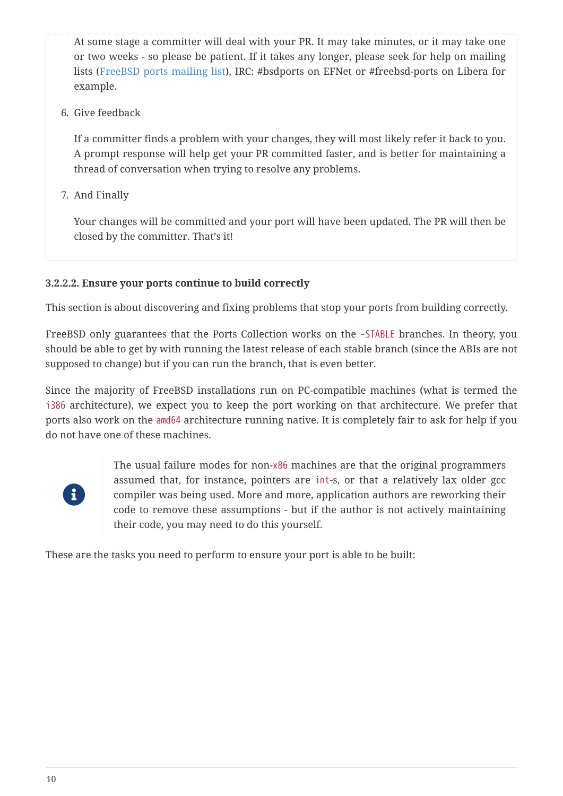At some stage a committer will deal with your PR. It may take minutes, or it may take one or two weeks - so please be patient. If it takes any longer, please seek for help on mailing lists [\(FreeBSD ports mailing list](https://lists.FreeBSD.org/subscription/freebsd-ports)), IRC: #bsdports on EFNet or #freebsd-ports on Libera for example.

6. Give feedback

If a committer finds a problem with your changes, they will most likely refer it back to you. A prompt response will help get your PR committed faster, and is better for maintaining a thread of conversation when trying to resolve any problems.

7. And Finally

Your changes will be committed and your port will have been updated. The PR will then be closed by the committer. That's it!

#### **3.2.2.2. Ensure your ports continue to build correctly**

This section is about discovering and fixing problems that stop your ports from building correctly.

FreeBSD only guarantees that the Ports Collection works on the -STABLE branches. In theory, you should be able to get by with running the latest release of each stable branch (since the ABIs are not supposed to change) but if you can run the branch, that is even better.

Since the majority of FreeBSD installations run on PC-compatible machines (what is termed the i386 architecture), we expect you to keep the port working on that architecture. We prefer that ports also work on the amd64 architecture running native. It is completely fair to ask for help if you do not have one of these machines.



The usual failure modes for non-x86 machines are that the original programmers assumed that, for instance, pointers are int-s, or that a relatively lax older gcc compiler was being used. More and more, application authors are reworking their code to remove these assumptions - but if the author is not actively maintaining their code, you may need to do this yourself.

These are the tasks you need to perform to ensure your port is able to be built: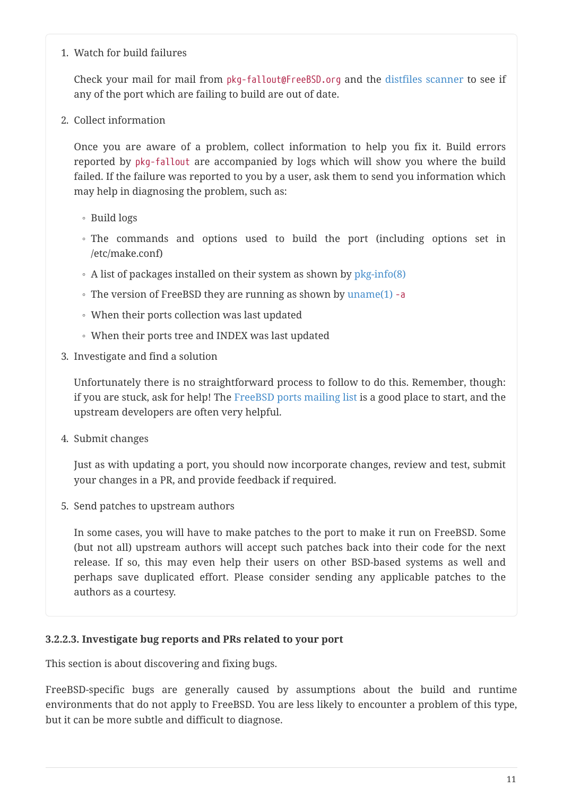#### 1. Watch for build failures

Check your mail for mail from pkg-fallout@FreeBSD.org and the [distfiles scanner](http://portscout.FreeBSD.org) to see if any of the port which are failing to build are out of date.

2. Collect information

Once you are aware of a problem, collect information to help you fix it. Build errors reported by pkg-fallout are accompanied by logs which will show you where the build failed. If the failure was reported to you by a user, ask them to send you information which may help in diagnosing the problem, such as:

- Build logs
- The commands and options used to build the port (including options set in /etc/make.conf)
- A list of packages installed on their system as shown by [pkg-info\(8\)](https://www.freebsd.org/cgi/man.cgi?query=pkg-info&sektion=8&format=html)
- The version of FreeBSD they are running as shown by [uname\(1\)](https://www.freebsd.org/cgi/man.cgi?query=uname&sektion=1&format=html) -a
- When their ports collection was last updated
- When their ports tree and INDEX was last updated
- 3. Investigate and find a solution

Unfortunately there is no straightforward process to follow to do this. Remember, though: if you are stuck, ask for help! The [FreeBSD ports mailing list](https://lists.FreeBSD.org/subscription/freebsd-ports) is a good place to start, and the upstream developers are often very helpful.

4. Submit changes

Just as with updating a port, you should now incorporate changes, review and test, submit your changes in a PR, and provide feedback if required.

5. Send patches to upstream authors

In some cases, you will have to make patches to the port to make it run on FreeBSD. Some (but not all) upstream authors will accept such patches back into their code for the next release. If so, this may even help their users on other BSD-based systems as well and perhaps save duplicated effort. Please consider sending any applicable patches to the authors as a courtesy.

#### **3.2.2.3. Investigate bug reports and PRs related to your port**

This section is about discovering and fixing bugs.

FreeBSD-specific bugs are generally caused by assumptions about the build and runtime environments that do not apply to FreeBSD. You are less likely to encounter a problem of this type, but it can be more subtle and difficult to diagnose.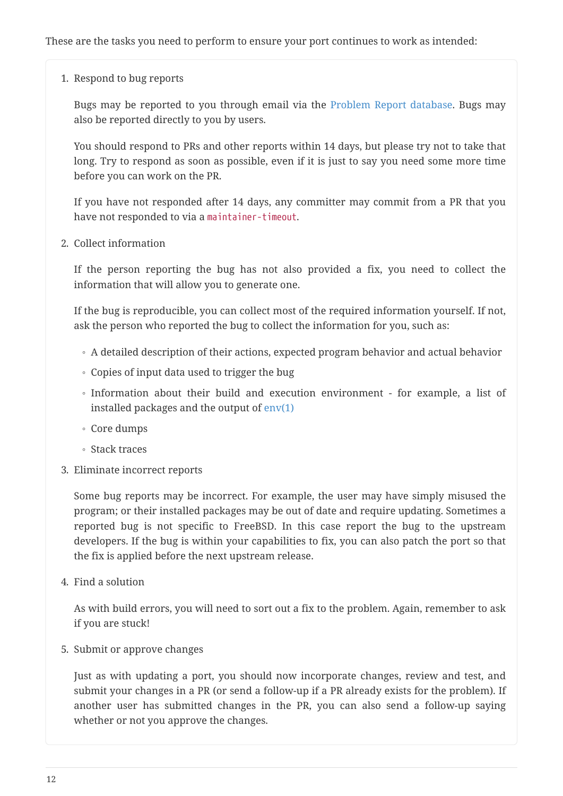1. Respond to bug reports

Bugs may be reported to you through email via the [Problem Report database.](https://bugs.FreeBSD.org/search/) Bugs may also be reported directly to you by users.

You should respond to PRs and other reports within 14 days, but please try not to take that long. Try to respond as soon as possible, even if it is just to say you need some more time before you can work on the PR.

If you have not responded after 14 days, any committer may commit from a PR that you have not responded to via a maintainer-timeout.

2. Collect information

If the person reporting the bug has not also provided a fix, you need to collect the information that will allow you to generate one.

If the bug is reproducible, you can collect most of the required information yourself. If not, ask the person who reported the bug to collect the information for you, such as:

- A detailed description of their actions, expected program behavior and actual behavior
- Copies of input data used to trigger the bug
- Information about their build and execution environment for example, a list of installed packages and the output of  $env(1)$
- Core dumps
- Stack traces
- 3. Eliminate incorrect reports

Some bug reports may be incorrect. For example, the user may have simply misused the program; or their installed packages may be out of date and require updating. Sometimes a reported bug is not specific to FreeBSD. In this case report the bug to the upstream developers. If the bug is within your capabilities to fix, you can also patch the port so that the fix is applied before the next upstream release.

4. Find a solution

As with build errors, you will need to sort out a fix to the problem. Again, remember to ask if you are stuck!

5. Submit or approve changes

Just as with updating a port, you should now incorporate changes, review and test, and submit your changes in a PR (or send a follow-up if a PR already exists for the problem). If another user has submitted changes in the PR, you can also send a follow-up saying whether or not you approve the changes.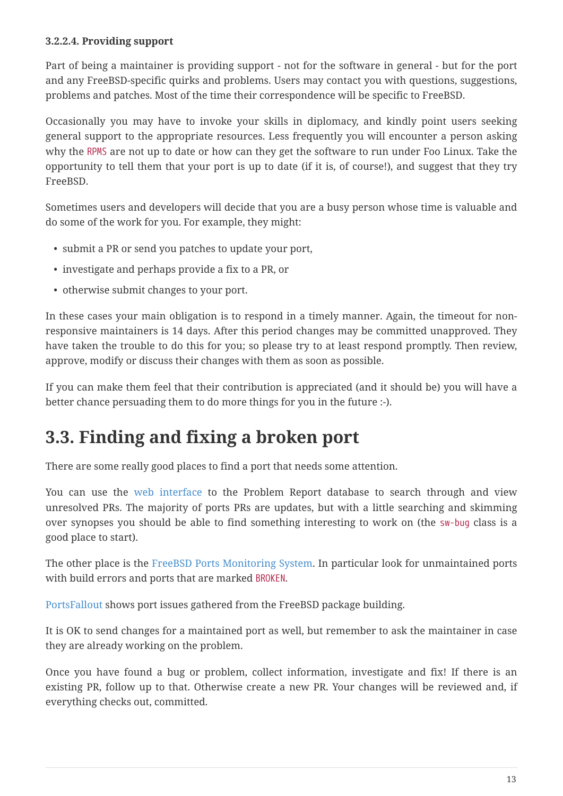#### **3.2.2.4. Providing support**

Part of being a maintainer is providing support - not for the software in general - but for the port and any FreeBSD-specific quirks and problems. Users may contact you with questions, suggestions, problems and patches. Most of the time their correspondence will be specific to FreeBSD.

Occasionally you may have to invoke your skills in diplomacy, and kindly point users seeking general support to the appropriate resources. Less frequently you will encounter a person asking why the RPMS are not up to date or how can they get the software to run under Foo Linux. Take the opportunity to tell them that your port is up to date (if it is, of course!), and suggest that they try FreeBSD.

Sometimes users and developers will decide that you are a busy person whose time is valuable and do some of the work for you. For example, they might:

- submit a PR or send you patches to update your port,
- investigate and perhaps provide a fix to a PR, or
- otherwise submit changes to your port.

In these cases your main obligation is to respond in a timely manner. Again, the timeout for nonresponsive maintainers is 14 days. After this period changes may be committed unapproved. They have taken the trouble to do this for you; so please try to at least respond promptly. Then review, approve, modify or discuss their changes with them as soon as possible.

If you can make them feel that their contribution is appreciated (and it should be) you will have a better chance persuading them to do more things for you in the future :-).

### <span id="page-12-0"></span>**3.3. Finding and fixing a broken port**

There are some really good places to find a port that needs some attention.

You can use the [web interface](https://bugs.freebsd.org/search) to the Problem Report database to search through and view unresolved PRs. The majority of ports PRs are updates, but with a little searching and skimming over synopses you should be able to find something interesting to work on (the sw-bug class is a good place to start).

The other place is the [FreeBSD Ports Monitoring System.](http://portsmon.FreeBSD.org/) In particular look for unmaintained ports with build errors and ports that are marked BROKEN.

[PortsFallout](https://portsfallout.com/) shows port issues gathered from the FreeBSD package building.

It is OK to send changes for a maintained port as well, but remember to ask the maintainer in case they are already working on the problem.

Once you have found a bug or problem, collect information, investigate and fix! If there is an existing PR, follow up to that. Otherwise create a new PR. Your changes will be reviewed and, if everything checks out, committed.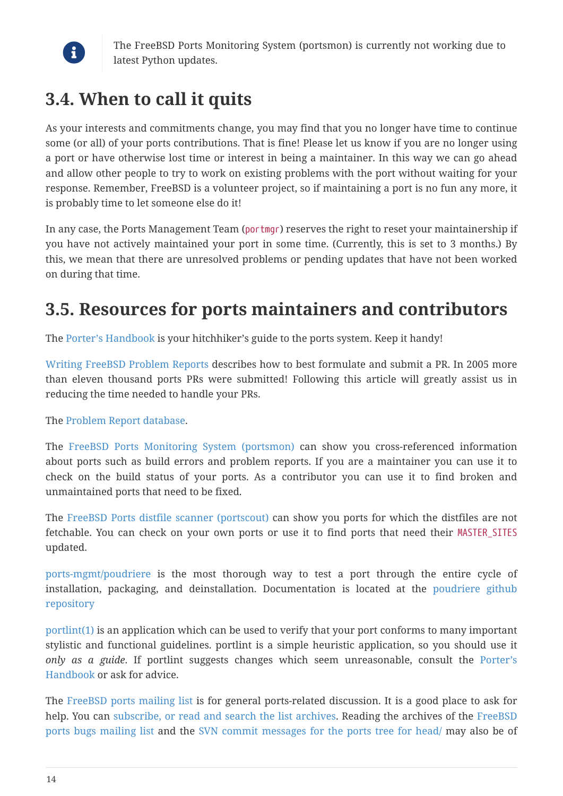

The FreeBSD Ports Monitoring System (portsmon) is currently not working due to latest Python updates.

### **3.4. When to call it quits**

As your interests and commitments change, you may find that you no longer have time to continue some (or all) of your ports contributions. That is fine! Please let us know if you are no longer using a port or have otherwise lost time or interest in being a maintainer. In this way we can go ahead and allow other people to try to work on existing problems with the port without waiting for your response. Remember, FreeBSD is a volunteer project, so if maintaining a port is no fun any more, it is probably time to let someone else do it!

In any case, the Ports Management Team (portmgr) reserves the right to reset your maintainership if you have not actively maintained your port in some time. (Currently, this is set to 3 months.) By this, we mean that there are unresolved problems or pending updates that have not been worked on during that time.

### <span id="page-13-0"></span>**3.5. Resources for ports maintainers and contributors**

The [Porter's Handbook](https://docs.freebsd.org/en/books/porters-handbook/) is your hitchhiker's guide to the ports system. Keep it handy!

[Writing FreeBSD Problem Reports](https://docs.freebsd.org/en/articles/problem-reports/) describes how to best formulate and submit a PR. In 2005 more than eleven thousand ports PRs were submitted! Following this article will greatly assist us in reducing the time needed to handle your PRs.

The [Problem Report database.](https://bugs.freebsd.org/bugzilla/query.cgi)

The [FreeBSD Ports Monitoring System \(portsmon\)](http://portsmon.FreeBSD.org/) can show you cross-referenced information about ports such as build errors and problem reports. If you are a maintainer you can use it to check on the build status of your ports. As a contributor you can use it to find broken and unmaintained ports that need to be fixed.

The [FreeBSD Ports distfile scanner \(portscout\)](http://portscout.FreeBSD.org) can show you ports for which the distfiles are not fetchable. You can check on your own ports or use it to find ports that need their MASTER\_SITES updated.

[ports-mgmt/poudriere](https://cgit.freebsd.org/ports/tree/ports-mgmt/poudriere/pkg-descr) is the most thorough way to test a port through the entire cycle of installation, packaging, and deinstallation. Documentation is located at the [poudriere github](https://github.com/freebsd/poudriere) [repository](https://github.com/freebsd/poudriere)

[portlint\(1\)](https://www.freebsd.org/cgi/man.cgi?query=portlint&sektion=1&format=html) is an application which can be used to verify that your port conforms to many important stylistic and functional guidelines. portlint is a simple heuristic application, so you should use it *only as a guide*. If portlint suggests changes which seem unreasonable, consult the [Porter's](https://docs.freebsd.org/en/books/porters-handbook/) [Handbook](https://docs.freebsd.org/en/books/porters-handbook/) or ask for advice.

The [FreeBSD ports mailing list](https://lists.FreeBSD.org/subscription/freebsd-ports) is for general ports-related discussion. It is a good place to ask for help. You can [subscribe, or read and search the list archives](https://lists.freebsd.org/). Reading the archives of the [FreeBSD](https://lists.FreeBSD.org/subscription/freebsd-ports-bugs) [ports bugs mailing list](https://lists.FreeBSD.org/subscription/freebsd-ports-bugs) and the [SVN commit messages for the ports tree for head/](https://lists.FreeBSD.org/pipermail/svn-ports-head) may also be of